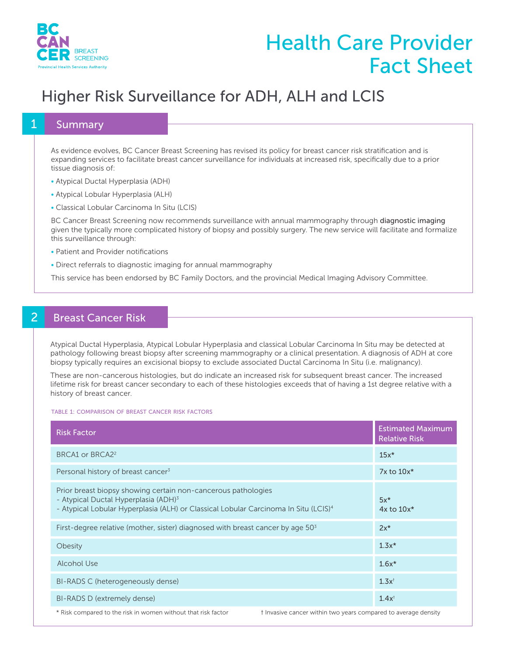

# Health Care Provider Fact Sheet

## Higher Risk Surveillance for ADH, ALH and LCIS

#### **Summary**

As evidence evolves, BC Cancer Breast Screening has revised its policy for breast cancer risk stratification and is expanding services to facilitate breast cancer surveillance for individuals at increased risk, specifically due to a prior tissue diagnosis of:

- Atypical Ductal Hyperplasia (ADH)
- Atypical Lobular Hyperplasia (ALH)
- Classical Lobular Carcinoma In Situ (LCIS)

BC Cancer Breast Screening now recommends surveillance with annual mammography through diagnostic imaging given the typically more complicated history of biopsy and possibly surgery. The new service will facilitate and formalize this surveillance through:

- Patient and Provider notifications
- Direct referrals to diagnostic imaging for annual mammography

This service has been endorsed by BC Family Doctors, and the provincial Medical Imaging Advisory Committee.

### **Breast Cancer Risk**

Atypical Ductal Hyperplasia, Atypical Lobular Hyperplasia and classical Lobular Carcinoma In Situ may be detected at pathology following breast biopsy after screening mammography or a clinical presentation. A diagnosis of ADH at core biopsy typically requires an excisional biopsy to exclude associated Ductal Carcinoma In Situ (i.e. malignancy).

These are non-cancerous histologies, but do indicate an increased risk for subsequent breast cancer. The increased lifetime risk for breast cancer secondary to each of these histologies exceeds that of having a 1st degree relative with a history of breast cancer.

TABLE 1: COMPARISON OF BREAST CANCER RISK FACTORS

| <b>Risk Factor</b>                                                                                                                                                                                                   | <b>Estimated Maximum</b><br><b>Relative Risk</b>               |  |  |  |
|----------------------------------------------------------------------------------------------------------------------------------------------------------------------------------------------------------------------|----------------------------------------------------------------|--|--|--|
| BRCA1 or BRCA2 <sup>2</sup>                                                                                                                                                                                          | $15x*$                                                         |  |  |  |
| Personal history of breast cancer <sup>3</sup>                                                                                                                                                                       | $7x$ to $10x^*$                                                |  |  |  |
| Prior breast biopsy showing certain non-cancerous pathologies<br>- Atypical Ductal Hyperplasia (ADH) <sup>3</sup><br>- Atypical Lobular Hyperplasia (ALH) or Classical Lobular Carcinoma In Situ (LCIS) <sup>4</sup> | $5x*$<br>$4x$ to $10x^*$                                       |  |  |  |
| First-degree relative (mother, sister) diagnosed with breast cancer by age $503$                                                                                                                                     | $2x^*$                                                         |  |  |  |
| Obesity                                                                                                                                                                                                              | $1.3x*$                                                        |  |  |  |
| <b>Alcohol Use</b>                                                                                                                                                                                                   | $1.6x*$                                                        |  |  |  |
| BI-RADS C (heterogeneously dense)                                                                                                                                                                                    | $1.3x$ <sup>†</sup>                                            |  |  |  |
| BI-RADS D (extremely dense)                                                                                                                                                                                          | $1.4x^{\dagger}$                                               |  |  |  |
| * Risk compared to the risk in women without that risk factor                                                                                                                                                        | t Invasive cancer within two years compared to average density |  |  |  |